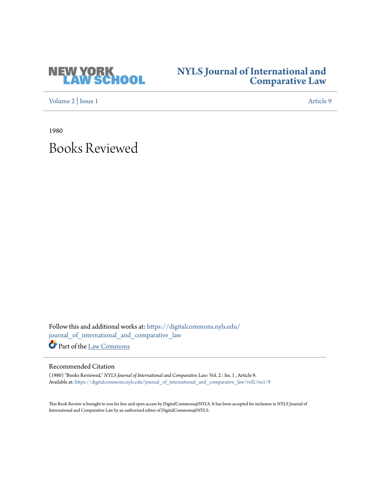

## **[NYLS Journal of International and](https://digitalcommons.nyls.edu/journal_of_international_and_comparative_law?utm_source=digitalcommons.nyls.edu%2Fjournal_of_international_and_comparative_law%2Fvol2%2Fiss1%2F9&utm_medium=PDF&utm_campaign=PDFCoverPages) [Comparative Law](https://digitalcommons.nyls.edu/journal_of_international_and_comparative_law?utm_source=digitalcommons.nyls.edu%2Fjournal_of_international_and_comparative_law%2Fvol2%2Fiss1%2F9&utm_medium=PDF&utm_campaign=PDFCoverPages)**

[Volume 2](https://digitalcommons.nyls.edu/journal_of_international_and_comparative_law/vol2?utm_source=digitalcommons.nyls.edu%2Fjournal_of_international_and_comparative_law%2Fvol2%2Fiss1%2F9&utm_medium=PDF&utm_campaign=PDFCoverPages) | [Issue 1](https://digitalcommons.nyls.edu/journal_of_international_and_comparative_law/vol2/iss1?utm_source=digitalcommons.nyls.edu%2Fjournal_of_international_and_comparative_law%2Fvol2%2Fiss1%2F9&utm_medium=PDF&utm_campaign=PDFCoverPages) [Article 9](https://digitalcommons.nyls.edu/journal_of_international_and_comparative_law/vol2/iss1/9?utm_source=digitalcommons.nyls.edu%2Fjournal_of_international_and_comparative_law%2Fvol2%2Fiss1%2F9&utm_medium=PDF&utm_campaign=PDFCoverPages)

1980

## Books Reviewed

Follow this and additional works at: [https://digitalcommons.nyls.edu/](https://digitalcommons.nyls.edu/journal_of_international_and_comparative_law?utm_source=digitalcommons.nyls.edu%2Fjournal_of_international_and_comparative_law%2Fvol2%2Fiss1%2F9&utm_medium=PDF&utm_campaign=PDFCoverPages) [journal\\_of\\_international\\_and\\_comparative\\_law](https://digitalcommons.nyls.edu/journal_of_international_and_comparative_law?utm_source=digitalcommons.nyls.edu%2Fjournal_of_international_and_comparative_law%2Fvol2%2Fiss1%2F9&utm_medium=PDF&utm_campaign=PDFCoverPages) Part of the [Law Commons](http://network.bepress.com/hgg/discipline/578?utm_source=digitalcommons.nyls.edu%2Fjournal_of_international_and_comparative_law%2Fvol2%2Fiss1%2F9&utm_medium=PDF&utm_campaign=PDFCoverPages)

## Recommended Citation

(1980) "Books Reviewed," *NYLS Journal of International and Comparative Law*: Vol. 2 : Iss. 1 , Article 9. Available at: [https://digitalcommons.nyls.edu/journal\\_of\\_international\\_and\\_comparative\\_law/vol2/iss1/9](https://digitalcommons.nyls.edu/journal_of_international_and_comparative_law/vol2/iss1/9?utm_source=digitalcommons.nyls.edu%2Fjournal_of_international_and_comparative_law%2Fvol2%2Fiss1%2F9&utm_medium=PDF&utm_campaign=PDFCoverPages)

This Book Review is brought to you for free and open access by DigitalCommons@NYLS. It has been accepted for inclusion in NYLS Journal of International and Comparative Law by an authorized editor of DigitalCommons@NYLS.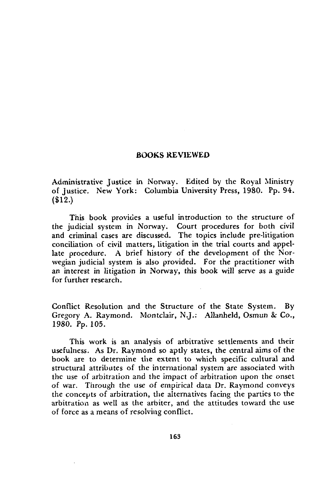## **BOOKS REVIEWED**

Administrative Justice in Norway. Edited by the Royal Ministry of Justice. New York: Columbia University Press, **1980. Pp.** 94. (\$12.)

This book provides a useful introduction to the structure of the judicial system in Norway. Court procedures for both civil and criminal cases are discussed. The topics include pre-litigation conciliation of civil matters, litigation in the trial courts and appellate procedure. A brief history of the development of the Norwegian judicial system is also provided. For the practitioner with an interest in litigation in Norway, this book will serve as a guide for further research.

Conflict Resolution and the Structure of the State System. **By** Gregory A. Raymond. Montclair, **N.J.:** Allanheld, Osmun & Co., **1980. Pp.** 105.

This work is an analysis of arbitrative settlements and their usefulness. As Dr. Raymond so aptly states, the central aims of the book **are** to determine the extent to which specific cultural and structural attributes of the international system are associated with the use of arbitration and the impact of arbitration upon the onset of war. Through the use of empirical data Dr. Raymond conveys the concepts of arbitration, the alternatives facing the parties to the arbitration as well as the arbiter, and the attitudes toward the use of force as a means of resolving conflict.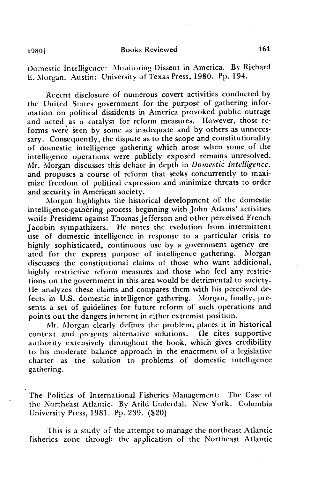Domestic Intelligence: Monitoring Dissent in America. By Richard **E.** Morgan. Austin: University of Texas Press, 1980. Pp. 194.

Recent disclosure of numerous covert activities conducted by the United States government for the purpose of gathering information on political dissidents in America provoked public outrage and acted as a catalyst for reform measures. However, those reforms were seen by some as inadequate and by others as unnecessary. Consequently, the dispute as to the scope and constitutionality of domestic intelligence gathering which arose when some of the intelligence operations were publicly exposed remains unresolved. Mr. Morgan discusses this debate in depth in *Domestic Intelligence,* and proposes a course of reform that seeks concurrently to maximize freedom of political expression and minimize threats to order and security in American society.

Morgan highlights the historical development of the domestic intelligence-gathering process beginning with John Adams' activities while President against Thomas jefferson and other perceived French Jacobin sympathizers. He notes the evolution from intermittent use of domestic intelligence in response to a particular crisis to highly sophisticated, continuous use **by** a government agency created for the express purpose of intelligence gathering. Morgan discusses the constitutional claims of those who want additional, highly restrictive reform measures and those who feel any restrictions on the government in this area would be detrimental to society. lie analyzes these claims and compares them with his perceived defects in U.S. domestic intelligence gathering. Morgan, finally, presents a set of guidelines for future reform of such operations and points out the dangers inherent in either extremist position.

Mr. Morgan clearly defines the problem, places it in historical context and presents alternative solutions. He cites supportive authority extensively throughout the book, which gives credibility to his moderate balance approach in the enactment of a legislative charter as the solution to problems of domestic intelligence gathering.

The Politics of International Fisheries Management: The Case of the Northeast Atlantic. By Arild Underdal. New York: Columbia University Press, 1981. Pp. 239. (\$20)

This is a study of the attempt to manage the northeast Atlantic fisheries zone through the application of the Northeast Atlantic